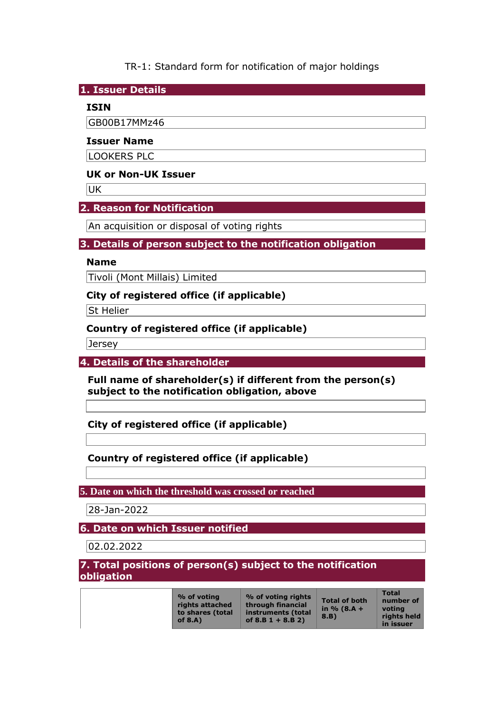TR-1: Standard form for notification of major holdings

**1. Issuer Details** 

### **ISIN**

GB00B17MMz46

#### **Issuer Name**

LOOKERS PLC

### **UK or Non-UK Issuer**

**UK** 

## **2. Reason for Notification**

An acquisition or disposal of voting rights

## **3. Details of person subject to the notification obligation**

### **Name**

Tivoli (Mont Millais) Limited

## **City of registered office (if applicable)**

**St Helier** 

## **Country of registered office (if applicable)**

Jersey

### **4. Details of the shareholder**

**Full name of shareholder(s) if different from the person(s) subject to the notification obligation, above** 

**City of registered office (if applicable)** 

## **Country of registered office (if applicable)**

### **5. Date on which the threshold was crossed or reached**

28-Jan-2022

## **6. Date on which Issuer notified**

02.02.2022

### **7. Total positions of person(s) subject to the notification obligation**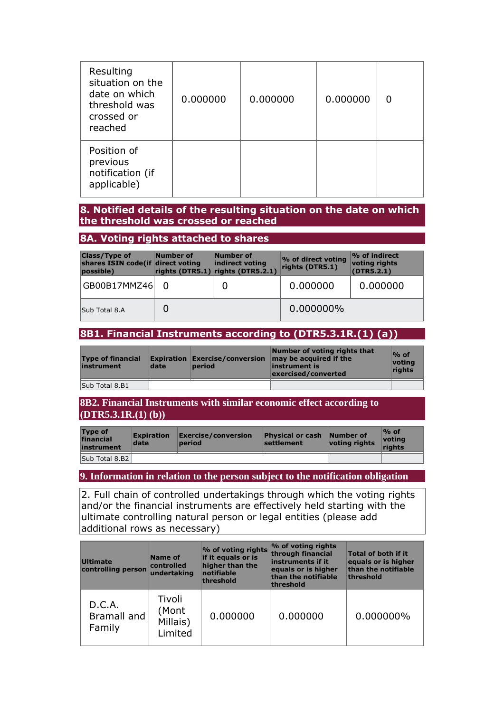| Resulting<br>situation on the<br>date on which<br>threshold was<br>crossed or<br>reached | 0.000000 | 0.000000 | 0.000000 |  |
|------------------------------------------------------------------------------------------|----------|----------|----------|--|
| Position of<br>previous<br>notification (if<br>applicable)                               |          |          |          |  |

### **8. Notified details of the resulting situation on the date on which the threshold was crossed or reached**

### **8A. Voting rights attached to shares**

| <b>Class/Type of</b><br>shares ISIN code(if direct voting<br>possible) | Number of | Number of<br>indirect voting<br>rights (DTR5.1) rights (DTR5.2.1) | % of direct voting<br>rights (DTR5.1) | $\sim$ of indirect<br>voting rights<br>(DTR5.2.1) |
|------------------------------------------------------------------------|-----------|-------------------------------------------------------------------|---------------------------------------|---------------------------------------------------|
| GB00B17MMZ46                                                           |           |                                                                   | 0.000000                              | 0.000000                                          |
| Sub Total 8.A                                                          |           |                                                                   | 0.000000%                             |                                                   |

# **8B1. Financial Instruments according to (DTR5.3.1R.(1) (a))**

| <b>Type of financial</b><br>instrument | date | <b>Expiration Exercise/conversion</b><br>period | Number of voting rights that<br>may be acquired if the<br>linstrument is<br>exercised/converted | $\%$ of<br>votina<br>rights |
|----------------------------------------|------|-------------------------------------------------|-------------------------------------------------------------------------------------------------|-----------------------------|
| Sub Total 8.B1                         |      |                                                 |                                                                                                 |                             |

**8B2. Financial Instruments with similar economic effect according to (DTR5.3.1R.(1) (b))** 

| <b>Type of</b><br>financial<br>instrument | <b>Expiration</b><br>date | Exercise/conversion<br>period | <b>Physical or cash Number of</b><br>settlement | voting rights | $\%$ of<br><u> votina</u><br>riahts |
|-------------------------------------------|---------------------------|-------------------------------|-------------------------------------------------|---------------|-------------------------------------|
| Sub Total 8.B2                            |                           |                               |                                                 |               |                                     |

**9. Information in relation to the person subject to the notification obligation** 

2. Full chain of controlled undertakings through which the voting rights and/or the financial instruments are effectively held starting with the ultimate controlling natural person or legal entities (please add additional rows as necessary)

| <b>Ultimate</b><br>controlling person  | Name of<br>controlled<br>undertaking   | % of voting rights<br>if it equals or is<br>higher than the<br>notifiable<br>threshold | % of voting rights<br>through financial<br>instruments if it<br>equals or is higher<br>than the notifiable<br>threshold | Total of both if it<br>equals or is higher<br>than the notifiable<br>threshold |
|----------------------------------------|----------------------------------------|----------------------------------------------------------------------------------------|-------------------------------------------------------------------------------------------------------------------------|--------------------------------------------------------------------------------|
| D.C.A.<br><b>Bramall</b> and<br>Family | Tivoli<br>(Mont<br>Millais)<br>Limited | 0.000000                                                                               | 0.000000                                                                                                                | 0.000000%                                                                      |